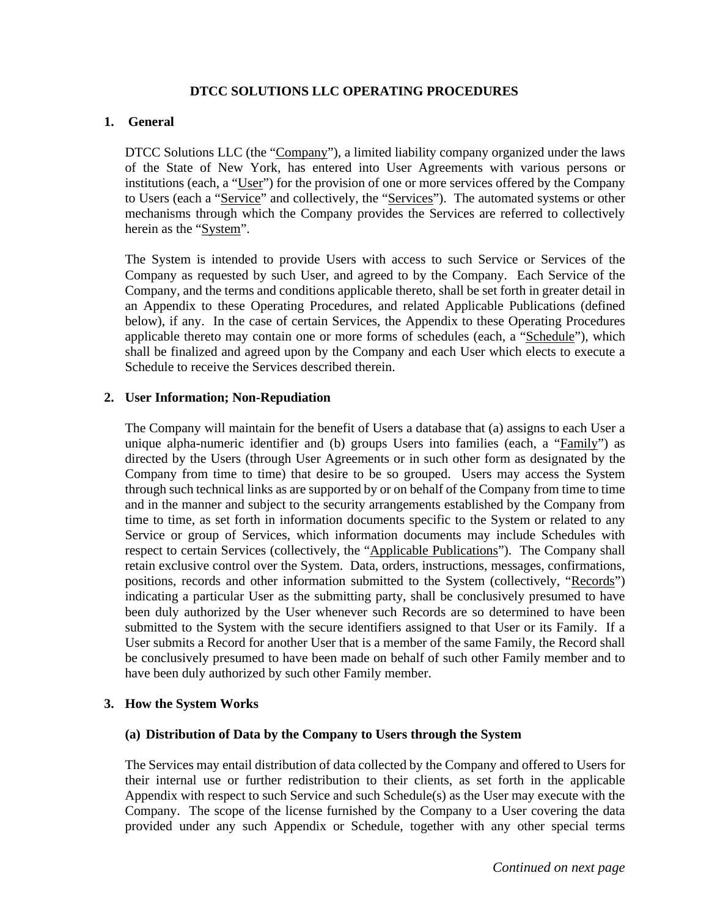### **DTCC SOLUTIONS LLC OPERATING PROCEDURES**

### **1. General**

DTCC Solutions LLC (the "Company"), a limited liability company organized under the laws of the State of New York, has entered into User Agreements with various persons or institutions (each, a "User") for the provision of one or more services offered by the Company to Users (each a "Service" and collectively, the "Services"). The automated systems or other mechanisms through which the Company provides the Services are referred to collectively herein as the "System".

The System is intended to provide Users with access to such Service or Services of the Company as requested by such User, and agreed to by the Company. Each Service of the Company, and the terms and conditions applicable thereto, shall be set forth in greater detail in an Appendix to these Operating Procedures, and related Applicable Publications (defined below), if any. In the case of certain Services, the Appendix to these Operating Procedures applicable thereto may contain one or more forms of schedules (each, a "Schedule"), which shall be finalized and agreed upon by the Company and each User which elects to execute a Schedule to receive the Services described therein.

### **2. User Information; Non-Repudiation**

The Company will maintain for the benefit of Users a database that (a) assigns to each User a unique alpha-numeric identifier and (b) groups Users into families (each, a "Family") as directed by the Users (through User Agreements or in such other form as designated by the Company from time to time) that desire to be so grouped. Users may access the System through such technical links as are supported by or on behalf of the Company from time to time and in the manner and subject to the security arrangements established by the Company from time to time, as set forth in information documents specific to the System or related to any Service or group of Services, which information documents may include Schedules with respect to certain Services (collectively, the "Applicable Publications"). The Company shall retain exclusive control over the System. Data, orders, instructions, messages, confirmations, positions, records and other information submitted to the System (collectively, "Records") indicating a particular User as the submitting party, shall be conclusively presumed to have been duly authorized by the User whenever such Records are so determined to have been submitted to the System with the secure identifiers assigned to that User or its Family. If a User submits a Record for another User that is a member of the same Family, the Record shall be conclusively presumed to have been made on behalf of such other Family member and to have been duly authorized by such other Family member.

### **3. How the System Works**

### **(a) Distribution of Data by the Company to Users through the System**

The Services may entail distribution of data collected by the Company and offered to Users for their internal use or further redistribution to their clients, as set forth in the applicable Appendix with respect to such Service and such Schedule(s) as the User may execute with the Company. The scope of the license furnished by the Company to a User covering the data provided under any such Appendix or Schedule, together with any other special terms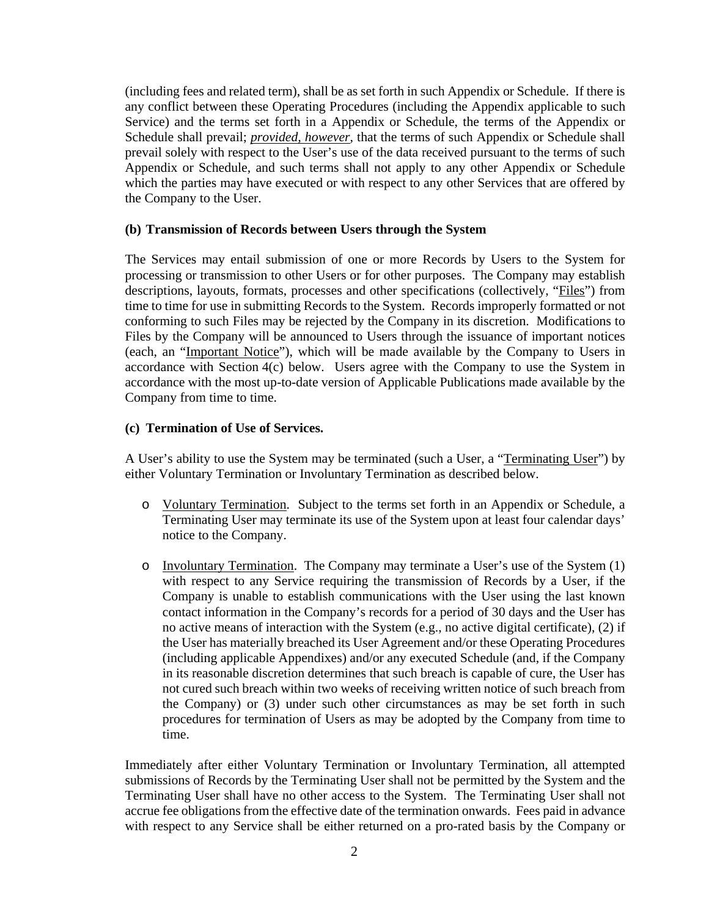(including fees and related term), shall be as set forth in such Appendix or Schedule. If there is any conflict between these Operating Procedures (including the Appendix applicable to such Service) and the terms set forth in a Appendix or Schedule, the terms of the Appendix or Schedule shall prevail; *provided, however*, that the terms of such Appendix or Schedule shall prevail solely with respect to the User's use of the data received pursuant to the terms of such Appendix or Schedule, and such terms shall not apply to any other Appendix or Schedule which the parties may have executed or with respect to any other Services that are offered by the Company to the User.

### **(b) Transmission of Records between Users through the System**

The Services may entail submission of one or more Records by Users to the System for processing or transmission to other Users or for other purposes. The Company may establish descriptions, layouts, formats, processes and other specifications (collectively, "Files") from time to time for use in submitting Records to the System. Records improperly formatted or not conforming to such Files may be rejected by the Company in its discretion. Modifications to Files by the Company will be announced to Users through the issuance of important notices (each, an "Important Notice"), which will be made available by the Company to Users in accordance with Section 4(c) below. Users agree with the Company to use the System in accordance with the most up-to-date version of Applicable Publications made available by the Company from time to time.

### **(c) Termination of Use of Services.**

A User's ability to use the System may be terminated (such a User, a "Terminating User") by either Voluntary Termination or Involuntary Termination as described below.

- o Voluntary Termination. Subject to the terms set forth in an Appendix or Schedule, a Terminating User may terminate its use of the System upon at least four calendar days' notice to the Company.
- o Involuntary Termination. The Company may terminate a User's use of the System (1) with respect to any Service requiring the transmission of Records by a User, if the Company is unable to establish communications with the User using the last known contact information in the Company's records for a period of 30 days and the User has no active means of interaction with the System (e.g., no active digital certificate), (2) if the User has materially breached its User Agreement and/or these Operating Procedures (including applicable Appendixes) and/or any executed Schedule (and, if the Company in its reasonable discretion determines that such breach is capable of cure, the User has not cured such breach within two weeks of receiving written notice of such breach from the Company) or (3) under such other circumstances as may be set forth in such procedures for termination of Users as may be adopted by the Company from time to time.

Immediately after either Voluntary Termination or Involuntary Termination, all attempted submissions of Records by the Terminating User shall not be permitted by the System and the Terminating User shall have no other access to the System. The Terminating User shall not accrue fee obligations from the effective date of the termination onwards. Fees paid in advance with respect to any Service shall be either returned on a pro-rated basis by the Company or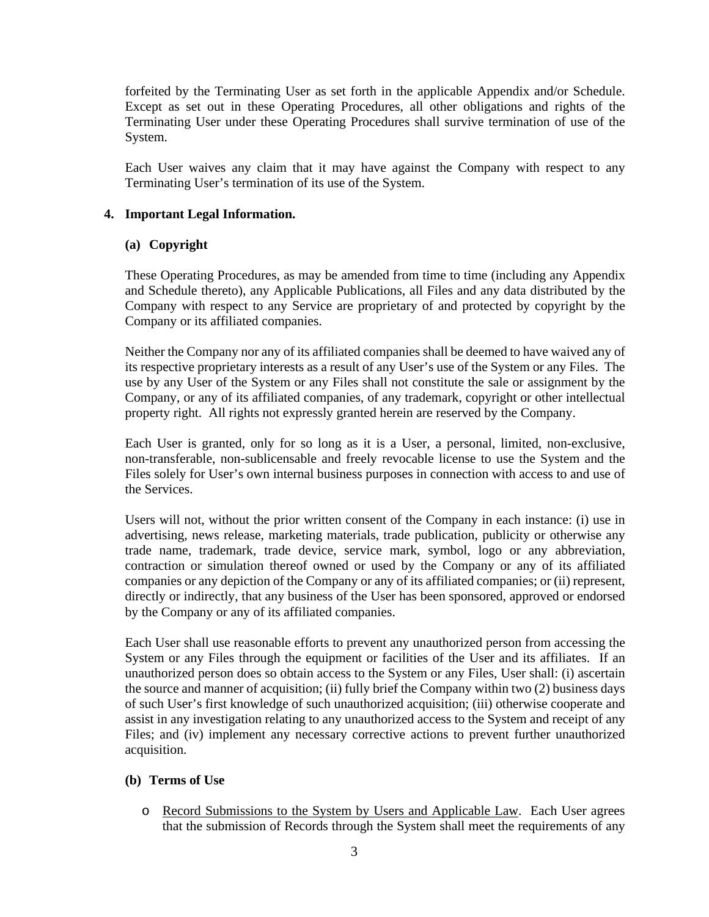forfeited by the Terminating User as set forth in the applicable Appendix and/or Schedule. Except as set out in these Operating Procedures, all other obligations and rights of the Terminating User under these Operating Procedures shall survive termination of use of the System.

Each User waives any claim that it may have against the Company with respect to any Terminating User's termination of its use of the System.

# **4. Important Legal Information.**

# **(a) Copyright**

These Operating Procedures, as may be amended from time to time (including any Appendix and Schedule thereto), any Applicable Publications, all Files and any data distributed by the Company with respect to any Service are proprietary of and protected by copyright by the Company or its affiliated companies.

Neither the Company nor any of its affiliated companies shall be deemed to have waived any of its respective proprietary interests as a result of any User's use of the System or any Files. The use by any User of the System or any Files shall not constitute the sale or assignment by the Company, or any of its affiliated companies, of any trademark, copyright or other intellectual property right. All rights not expressly granted herein are reserved by the Company.

Each User is granted, only for so long as it is a User, a personal, limited, non-exclusive, non-transferable, non-sublicensable and freely revocable license to use the System and the Files solely for User's own internal business purposes in connection with access to and use of the Services.

Users will not, without the prior written consent of the Company in each instance: (i) use in advertising, news release, marketing materials, trade publication, publicity or otherwise any trade name, trademark, trade device, service mark, symbol, logo or any abbreviation, contraction or simulation thereof owned or used by the Company or any of its affiliated companies or any depiction of the Company or any of its affiliated companies; or (ii) represent, directly or indirectly, that any business of the User has been sponsored, approved or endorsed by the Company or any of its affiliated companies.

Each User shall use reasonable efforts to prevent any unauthorized person from accessing the System or any Files through the equipment or facilities of the User and its affiliates. If an unauthorized person does so obtain access to the System or any Files, User shall: (i) ascertain the source and manner of acquisition; (ii) fully brief the Company within two (2) business days of such User's first knowledge of such unauthorized acquisition; (iii) otherwise cooperate and assist in any investigation relating to any unauthorized access to the System and receipt of any Files; and (iv) implement any necessary corrective actions to prevent further unauthorized acquisition.

# **(b) Terms of Use**

o Record Submissions to the System by Users and Applicable Law. Each User agrees that the submission of Records through the System shall meet the requirements of any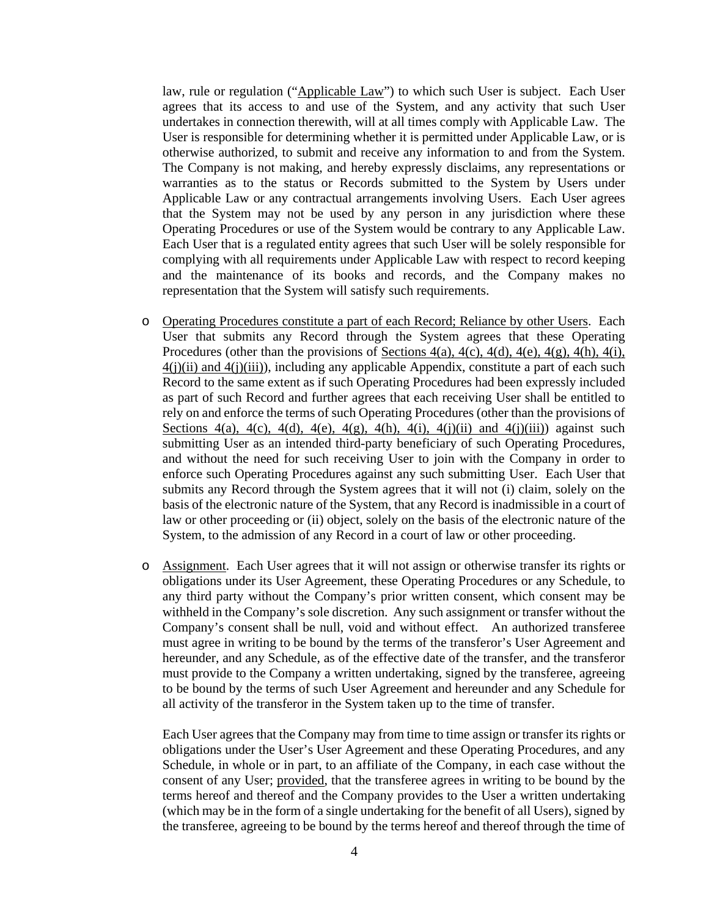law, rule or regulation ("Applicable Law") to which such User is subject. Each User agrees that its access to and use of the System, and any activity that such User undertakes in connection therewith, will at all times comply with Applicable Law. The User is responsible for determining whether it is permitted under Applicable Law, or is otherwise authorized, to submit and receive any information to and from the System. The Company is not making, and hereby expressly disclaims, any representations or warranties as to the status or Records submitted to the System by Users under Applicable Law or any contractual arrangements involving Users. Each User agrees that the System may not be used by any person in any jurisdiction where these Operating Procedures or use of the System would be contrary to any Applicable Law. Each User that is a regulated entity agrees that such User will be solely responsible for complying with all requirements under Applicable Law with respect to record keeping and the maintenance of its books and records, and the Company makes no representation that the System will satisfy such requirements.

- o Operating Procedures constitute a part of each Record; Reliance by other Users. Each User that submits any Record through the System agrees that these Operating Procedures (other than the provisions of Sections 4(a), 4(c), 4(d), 4(e), 4(g), 4(h), 4(i),  $4(j)(ii)$  and  $4(j)(iii)$ ), including any applicable Appendix, constitute a part of each such Record to the same extent as if such Operating Procedures had been expressly included as part of such Record and further agrees that each receiving User shall be entitled to rely on and enforce the terms of such Operating Procedures (other than the provisions of Sections 4(a), 4(c), 4(d), 4(e), 4(g), 4(h), 4(j), 4(j)(ii) and 4(j)(iii)) against such submitting User as an intended third-party beneficiary of such Operating Procedures, and without the need for such receiving User to join with the Company in order to enforce such Operating Procedures against any such submitting User. Each User that submits any Record through the System agrees that it will not (i) claim, solely on the basis of the electronic nature of the System, that any Record is inadmissible in a court of law or other proceeding or (ii) object, solely on the basis of the electronic nature of the System, to the admission of any Record in a court of law or other proceeding.
- o Assignment. Each User agrees that it will not assign or otherwise transfer its rights or obligations under its User Agreement, these Operating Procedures or any Schedule, to any third party without the Company's prior written consent, which consent may be withheld in the Company's sole discretion. Any such assignment or transfer without the Company's consent shall be null, void and without effect. An authorized transferee must agree in writing to be bound by the terms of the transferor's User Agreement and hereunder, and any Schedule, as of the effective date of the transfer, and the transferor must provide to the Company a written undertaking, signed by the transferee, agreeing to be bound by the terms of such User Agreement and hereunder and any Schedule for all activity of the transferor in the System taken up to the time of transfer.

Each User agrees that the Company may from time to time assign or transfer its rights or obligations under the User's User Agreement and these Operating Procedures, and any Schedule, in whole or in part, to an affiliate of the Company, in each case without the consent of any User; provided, that the transferee agrees in writing to be bound by the terms hereof and thereof and the Company provides to the User a written undertaking (which may be in the form of a single undertaking for the benefit of all Users), signed by the transferee, agreeing to be bound by the terms hereof and thereof through the time of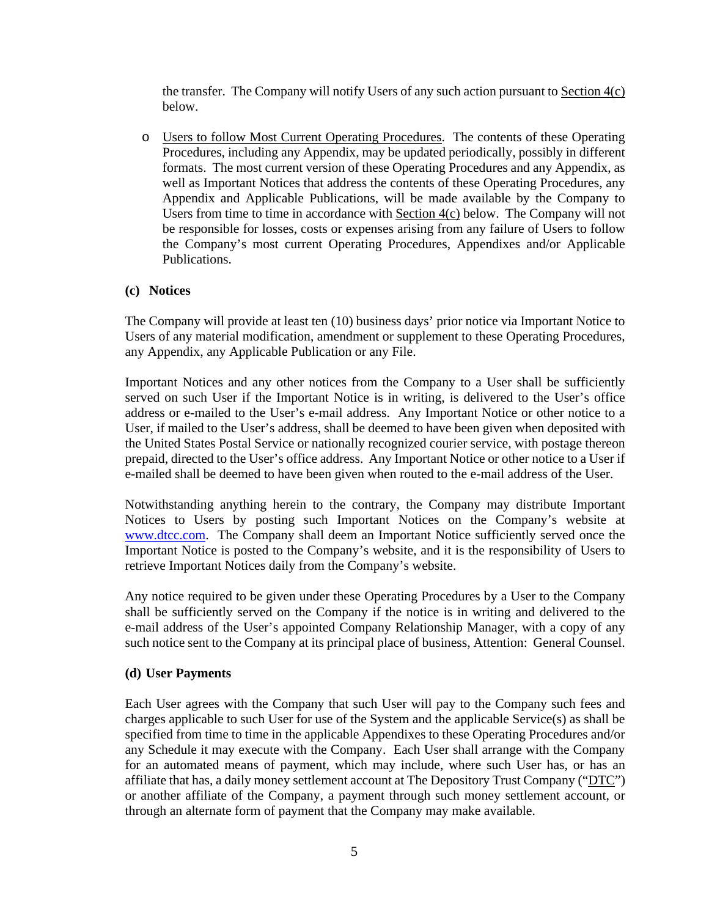the transfer. The Company will notify Users of any such action pursuant to Section 4(c) below.

o Users to follow Most Current Operating Procedures. The contents of these Operating Procedures, including any Appendix, may be updated periodically, possibly in different formats. The most current version of these Operating Procedures and any Appendix, as well as Important Notices that address the contents of these Operating Procedures, any Appendix and Applicable Publications, will be made available by the Company to Users from time to time in accordance with Section 4(c) below. The Company will not be responsible for losses, costs or expenses arising from any failure of Users to follow the Company's most current Operating Procedures, Appendixes and/or Applicable Publications.

### **(c) Notices**

The Company will provide at least ten (10) business days' prior notice via Important Notice to Users of any material modification, amendment or supplement to these Operating Procedures, any Appendix, any Applicable Publication or any File.

Important Notices and any other notices from the Company to a User shall be sufficiently served on such User if the Important Notice is in writing, is delivered to the User's office address or e-mailed to the User's e-mail address. Any Important Notice or other notice to a User, if mailed to the User's address, shall be deemed to have been given when deposited with the United States Postal Service or nationally recognized courier service, with postage thereon prepaid, directed to the User's office address. Any Important Notice or other notice to a User if e-mailed shall be deemed to have been given when routed to the e-mail address of the User.

Notwithstanding anything herein to the contrary, the Company may distribute Important Notices to Users by posting such Important Notices on the Company's website at www.dtcc.com. The Company shall deem an Important Notice sufficiently served once the Important Notice is posted to the Company's website, and it is the responsibility of Users to retrieve Important Notices daily from the Company's website.

Any notice required to be given under these Operating Procedures by a User to the Company shall be sufficiently served on the Company if the notice is in writing and delivered to the e-mail address of the User's appointed Company Relationship Manager, with a copy of any such notice sent to the Company at its principal place of business, Attention: General Counsel.

### **(d) User Payments**

Each User agrees with the Company that such User will pay to the Company such fees and charges applicable to such User for use of the System and the applicable Service(s) as shall be specified from time to time in the applicable Appendixes to these Operating Procedures and/or any Schedule it may execute with the Company. Each User shall arrange with the Company for an automated means of payment, which may include, where such User has, or has an affiliate that has, a daily money settlement account at The Depository Trust Company (" $\text{DTC}$ ") or another affiliate of the Company, a payment through such money settlement account, or through an alternate form of payment that the Company may make available.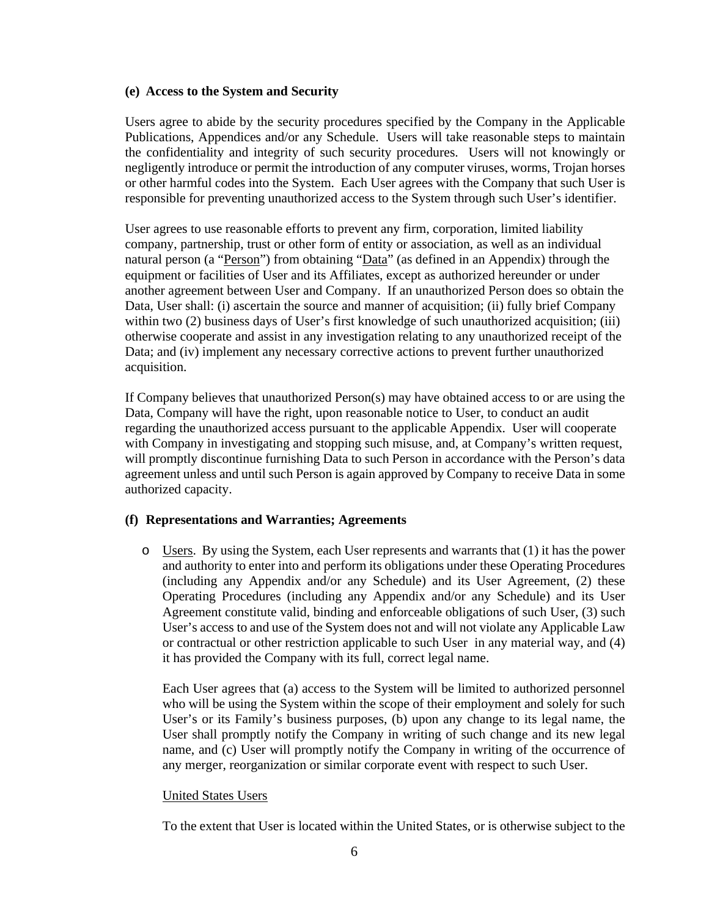#### **(e) Access to the System and Security**

Users agree to abide by the security procedures specified by the Company in the Applicable Publications, Appendices and/or any Schedule. Users will take reasonable steps to maintain the confidentiality and integrity of such security procedures. Users will not knowingly or negligently introduce or permit the introduction of any computer viruses, worms, Trojan horses or other harmful codes into the System. Each User agrees with the Company that such User is responsible for preventing unauthorized access to the System through such User's identifier.

User agrees to use reasonable efforts to prevent any firm, corporation, limited liability company, partnership, trust or other form of entity or association, as well as an individual natural person (a "Person") from obtaining "Data" (as defined in an Appendix) through the equipment or facilities of User and its Affiliates, except as authorized hereunder or under another agreement between User and Company. If an unauthorized Person does so obtain the Data, User shall: (i) ascertain the source and manner of acquisition; (ii) fully brief Company within two (2) business days of User's first knowledge of such unauthorized acquisition; (iii) otherwise cooperate and assist in any investigation relating to any unauthorized receipt of the Data; and (iv) implement any necessary corrective actions to prevent further unauthorized acquisition.

If Company believes that unauthorized Person(s) may have obtained access to or are using the Data, Company will have the right, upon reasonable notice to User, to conduct an audit regarding the unauthorized access pursuant to the applicable Appendix. User will cooperate with Company in investigating and stopping such misuse, and, at Company's written request, will promptly discontinue furnishing Data to such Person in accordance with the Person's data agreement unless and until such Person is again approved by Company to receive Data in some authorized capacity.

### **(f) Representations and Warranties; Agreements**

o Users. By using the System, each User represents and warrants that (1) it has the power and authority to enter into and perform its obligations under these Operating Procedures (including any Appendix and/or any Schedule) and its User Agreement, (2) these Operating Procedures (including any Appendix and/or any Schedule) and its User Agreement constitute valid, binding and enforceable obligations of such User, (3) such User's access to and use of the System does not and will not violate any Applicable Law or contractual or other restriction applicable to such User in any material way, and (4) it has provided the Company with its full, correct legal name.

Each User agrees that (a) access to the System will be limited to authorized personnel who will be using the System within the scope of their employment and solely for such User's or its Family's business purposes, (b) upon any change to its legal name, the User shall promptly notify the Company in writing of such change and its new legal name, and (c) User will promptly notify the Company in writing of the occurrence of any merger, reorganization or similar corporate event with respect to such User.

### United States Users

To the extent that User is located within the United States, or is otherwise subject to the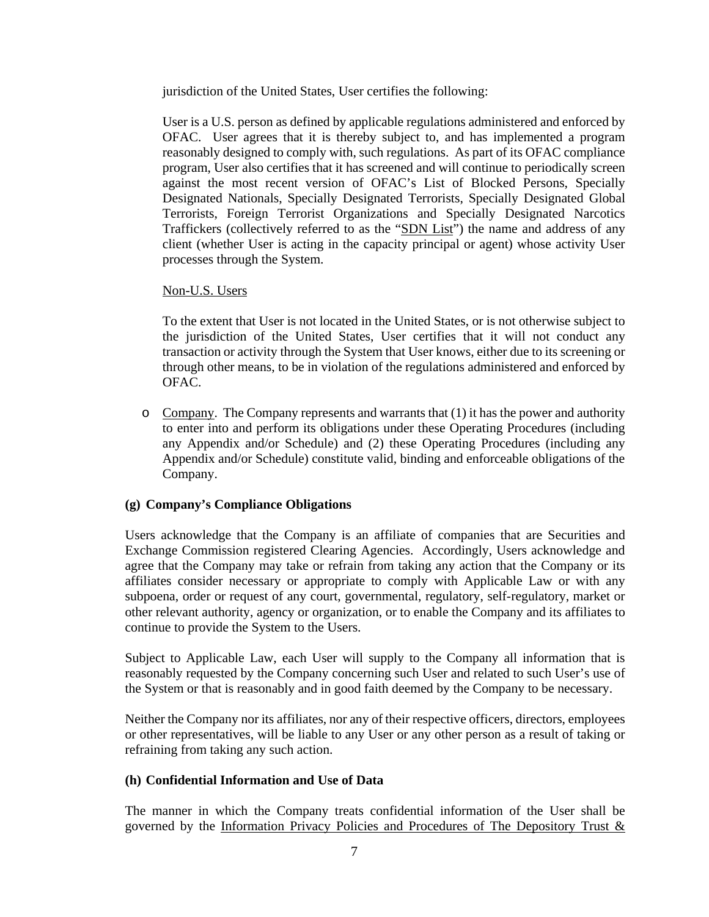jurisdiction of the United States, User certifies the following:

User is a U.S. person as defined by applicable regulations administered and enforced by OFAC. User agrees that it is thereby subject to, and has implemented a program reasonably designed to comply with, such regulations. As part of its OFAC compliance program, User also certifies that it has screened and will continue to periodically screen against the most recent version of OFAC's List of Blocked Persons, Specially Designated Nationals, Specially Designated Terrorists, Specially Designated Global Terrorists, Foreign Terrorist Organizations and Specially Designated Narcotics Traffickers (collectively referred to as the "SDN List") the name and address of any client (whether User is acting in the capacity principal or agent) whose activity User processes through the System.

# Non-U.S. Users

To the extent that User is not located in the United States, or is not otherwise subject to the jurisdiction of the United States, User certifies that it will not conduct any transaction or activity through the System that User knows, either due to its screening or through other means, to be in violation of the regulations administered and enforced by OFAC.

 $\circ$  Company. The Company represents and warrants that (1) it has the power and authority to enter into and perform its obligations under these Operating Procedures (including any Appendix and/or Schedule) and (2) these Operating Procedures (including any Appendix and/or Schedule) constitute valid, binding and enforceable obligations of the Company.

# **(g) Company's Compliance Obligations**

Users acknowledge that the Company is an affiliate of companies that are Securities and Exchange Commission registered Clearing Agencies. Accordingly, Users acknowledge and agree that the Company may take or refrain from taking any action that the Company or its affiliates consider necessary or appropriate to comply with Applicable Law or with any subpoena, order or request of any court, governmental, regulatory, self-regulatory, market or other relevant authority, agency or organization, or to enable the Company and its affiliates to continue to provide the System to the Users.

Subject to Applicable Law, each User will supply to the Company all information that is reasonably requested by the Company concerning such User and related to such User's use of the System or that is reasonably and in good faith deemed by the Company to be necessary.

Neither the Company nor its affiliates, nor any of their respective officers, directors, employees or other representatives, will be liable to any User or any other person as a result of taking or refraining from taking any such action.

### **(h) Confidential Information and Use of Data**

The manner in which the Company treats confidential information of the User shall be governed by the Information Privacy Policies and Procedures of The Depository Trust &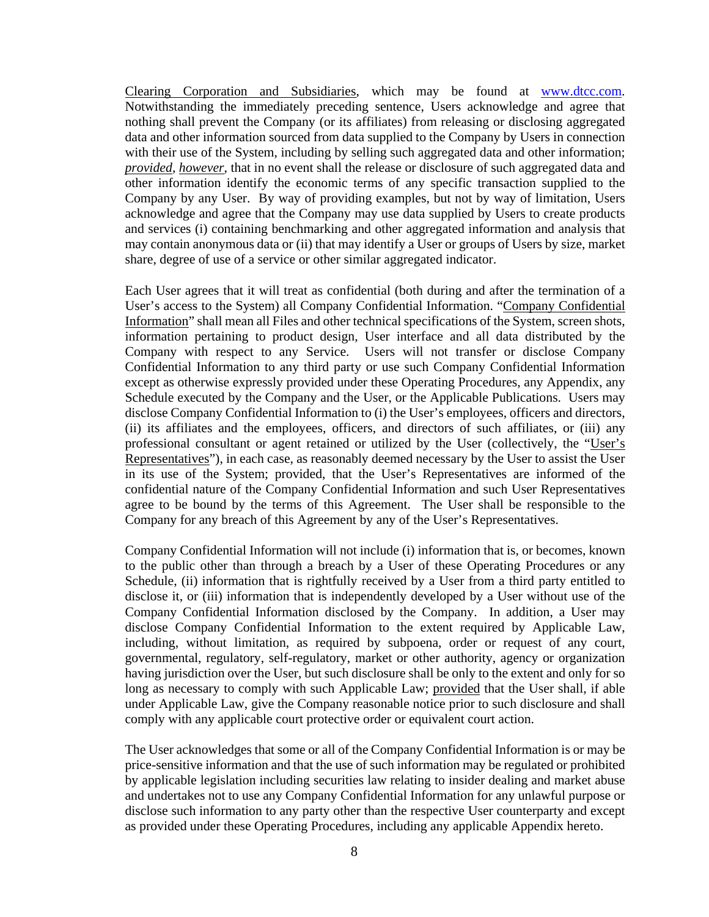Clearing Corporation and Subsidiaries, which may be found at www.dtcc.com. Notwithstanding the immediately preceding sentence, Users acknowledge and agree that nothing shall prevent the Company (or its affiliates) from releasing or disclosing aggregated data and other information sourced from data supplied to the Company by Users in connection with their use of the System, including by selling such aggregated data and other information; *provided*, *however*, that in no event shall the release or disclosure of such aggregated data and other information identify the economic terms of any specific transaction supplied to the Company by any User. By way of providing examples, but not by way of limitation, Users acknowledge and agree that the Company may use data supplied by Users to create products and services (i) containing benchmarking and other aggregated information and analysis that may contain anonymous data or (ii) that may identify a User or groups of Users by size, market share, degree of use of a service or other similar aggregated indicator.

Each User agrees that it will treat as confidential (both during and after the termination of a User's access to the System) all Company Confidential Information. "Company Confidential Information" shall mean all Files and other technical specifications of the System, screen shots, information pertaining to product design, User interface and all data distributed by the Company with respect to any Service. Users will not transfer or disclose Company Confidential Information to any third party or use such Company Confidential Information except as otherwise expressly provided under these Operating Procedures, any Appendix, any Schedule executed by the Company and the User, or the Applicable Publications. Users may disclose Company Confidential Information to (i) the User's employees, officers and directors, (ii) its affiliates and the employees, officers, and directors of such affiliates, or (iii) any professional consultant or agent retained or utilized by the User (collectively, the "User's Representatives"), in each case, as reasonably deemed necessary by the User to assist the User in its use of the System; provided, that the User's Representatives are informed of the confidential nature of the Company Confidential Information and such User Representatives agree to be bound by the terms of this Agreement. The User shall be responsible to the Company for any breach of this Agreement by any of the User's Representatives.

Company Confidential Information will not include (i) information that is, or becomes, known to the public other than through a breach by a User of these Operating Procedures or any Schedule, (ii) information that is rightfully received by a User from a third party entitled to disclose it, or (iii) information that is independently developed by a User without use of the Company Confidential Information disclosed by the Company. In addition, a User may disclose Company Confidential Information to the extent required by Applicable Law, including, without limitation, as required by subpoena, order or request of any court, governmental, regulatory, self-regulatory, market or other authority, agency or organization having jurisdiction over the User, but such disclosure shall be only to the extent and only for so long as necessary to comply with such Applicable Law; provided that the User shall, if able under Applicable Law, give the Company reasonable notice prior to such disclosure and shall comply with any applicable court protective order or equivalent court action.

The User acknowledges that some or all of the Company Confidential Information is or may be price-sensitive information and that the use of such information may be regulated or prohibited by applicable legislation including securities law relating to insider dealing and market abuse and undertakes not to use any Company Confidential Information for any unlawful purpose or disclose such information to any party other than the respective User counterparty and except as provided under these Operating Procedures, including any applicable Appendix hereto.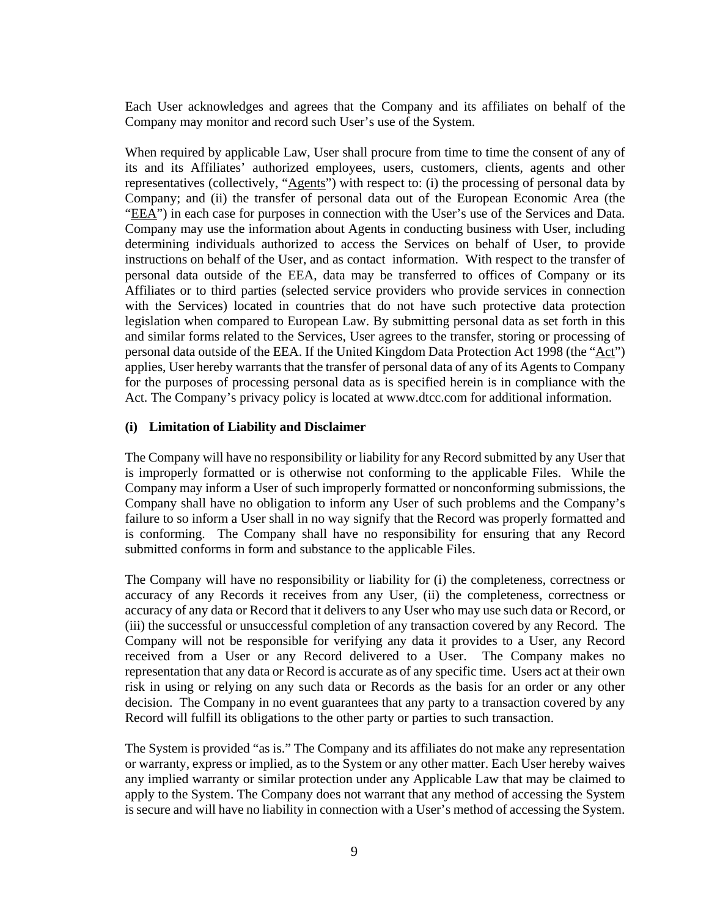Each User acknowledges and agrees that the Company and its affiliates on behalf of the Company may monitor and record such User's use of the System.

When required by applicable Law, User shall procure from time to time the consent of any of its and its Affiliates' authorized employees, users, customers, clients, agents and other representatives (collectively, "Agents") with respect to: (i) the processing of personal data by Company; and (ii) the transfer of personal data out of the European Economic Area (the "EEA") in each case for purposes in connection with the User's use of the Services and Data. Company may use the information about Agents in conducting business with User, including determining individuals authorized to access the Services on behalf of User, to provide instructions on behalf of the User, and as contact information. With respect to the transfer of personal data outside of the EEA, data may be transferred to offices of Company or its Affiliates or to third parties (selected service providers who provide services in connection with the Services) located in countries that do not have such protective data protection legislation when compared to European Law. By submitting personal data as set forth in this and similar forms related to the Services, User agrees to the transfer, storing or processing of personal data outside of the EEA. If the United Kingdom Data Protection Act 1998 (the "Act") applies, User hereby warrants that the transfer of personal data of any of its Agents to Company for the purposes of processing personal data as is specified herein is in compliance with the Act. The Company's privacy policy is located at www.dtcc.com for additional information.

### **(i) Limitation of Liability and Disclaimer**

The Company will have no responsibility or liability for any Record submitted by any User that is improperly formatted or is otherwise not conforming to the applicable Files. While the Company may inform a User of such improperly formatted or nonconforming submissions, the Company shall have no obligation to inform any User of such problems and the Company's failure to so inform a User shall in no way signify that the Record was properly formatted and is conforming. The Company shall have no responsibility for ensuring that any Record submitted conforms in form and substance to the applicable Files.

The Company will have no responsibility or liability for (i) the completeness, correctness or accuracy of any Records it receives from any User, (ii) the completeness, correctness or accuracy of any data or Record that it delivers to any User who may use such data or Record, or (iii) the successful or unsuccessful completion of any transaction covered by any Record. The Company will not be responsible for verifying any data it provides to a User, any Record received from a User or any Record delivered to a User. The Company makes no representation that any data or Record is accurate as of any specific time. Users act at their own risk in using or relying on any such data or Records as the basis for an order or any other decision. The Company in no event guarantees that any party to a transaction covered by any Record will fulfill its obligations to the other party or parties to such transaction.

The System is provided "as is." The Company and its affiliates do not make any representation or warranty, express or implied, as to the System or any other matter. Each User hereby waives any implied warranty or similar protection under any Applicable Law that may be claimed to apply to the System. The Company does not warrant that any method of accessing the System is secure and will have no liability in connection with a User's method of accessing the System.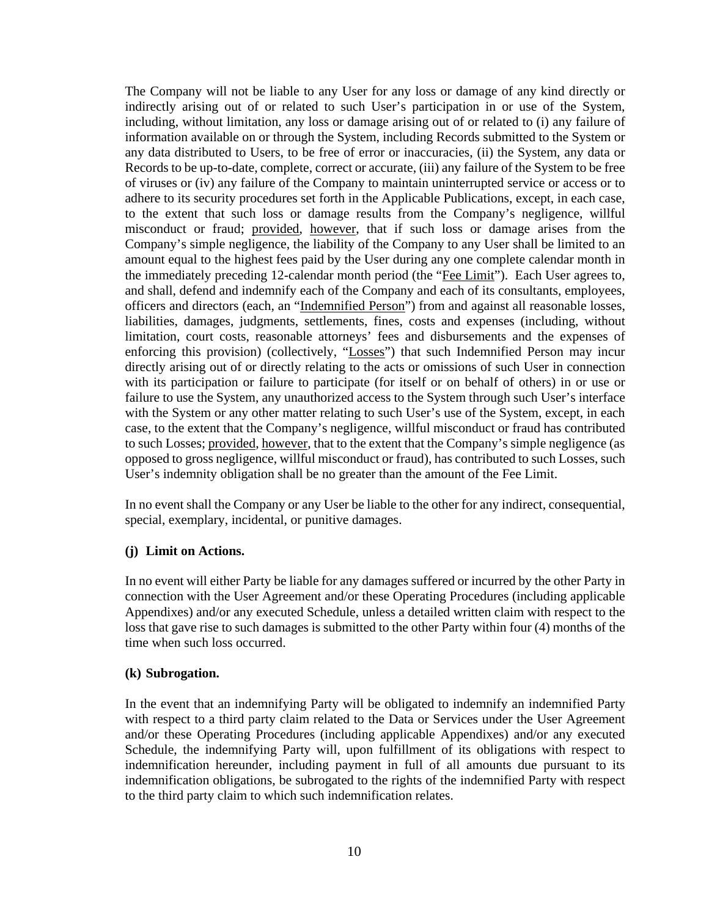The Company will not be liable to any User for any loss or damage of any kind directly or indirectly arising out of or related to such User's participation in or use of the System, including, without limitation, any loss or damage arising out of or related to (i) any failure of information available on or through the System, including Records submitted to the System or any data distributed to Users, to be free of error or inaccuracies, (ii) the System, any data or Records to be up-to-date, complete, correct or accurate, (iii) any failure of the System to be free of viruses or (iv) any failure of the Company to maintain uninterrupted service or access or to adhere to its security procedures set forth in the Applicable Publications, except, in each case, to the extent that such loss or damage results from the Company's negligence, willful misconduct or fraud; provided, however, that if such loss or damage arises from the Company's simple negligence, the liability of the Company to any User shall be limited to an amount equal to the highest fees paid by the User during any one complete calendar month in the immediately preceding 12-calendar month period (the "Fee Limit"). Each User agrees to, and shall, defend and indemnify each of the Company and each of its consultants, employees, officers and directors (each, an "Indemnified Person") from and against all reasonable losses, liabilities, damages, judgments, settlements, fines, costs and expenses (including, without limitation, court costs, reasonable attorneys' fees and disbursements and the expenses of enforcing this provision) (collectively, "Losses") that such Indemnified Person may incur directly arising out of or directly relating to the acts or omissions of such User in connection with its participation or failure to participate (for itself or on behalf of others) in or use or failure to use the System, any unauthorized access to the System through such User's interface with the System or any other matter relating to such User's use of the System, except, in each case, to the extent that the Company's negligence, willful misconduct or fraud has contributed to such Losses; provided, however, that to the extent that the Company's simple negligence (as opposed to gross negligence, willful misconduct or fraud), has contributed to such Losses, such User's indemnity obligation shall be no greater than the amount of the Fee Limit.

In no event shall the Company or any User be liable to the other for any indirect, consequential, special, exemplary, incidental, or punitive damages.

### **(j) Limit on Actions.**

In no event will either Party be liable for any damages suffered or incurred by the other Party in connection with the User Agreement and/or these Operating Procedures (including applicable Appendixes) and/or any executed Schedule, unless a detailed written claim with respect to the loss that gave rise to such damages is submitted to the other Party within four (4) months of the time when such loss occurred.

### **(k) Subrogation.**

In the event that an indemnifying Party will be obligated to indemnify an indemnified Party with respect to a third party claim related to the Data or Services under the User Agreement and/or these Operating Procedures (including applicable Appendixes) and/or any executed Schedule, the indemnifying Party will, upon fulfillment of its obligations with respect to indemnification hereunder, including payment in full of all amounts due pursuant to its indemnification obligations, be subrogated to the rights of the indemnified Party with respect to the third party claim to which such indemnification relates.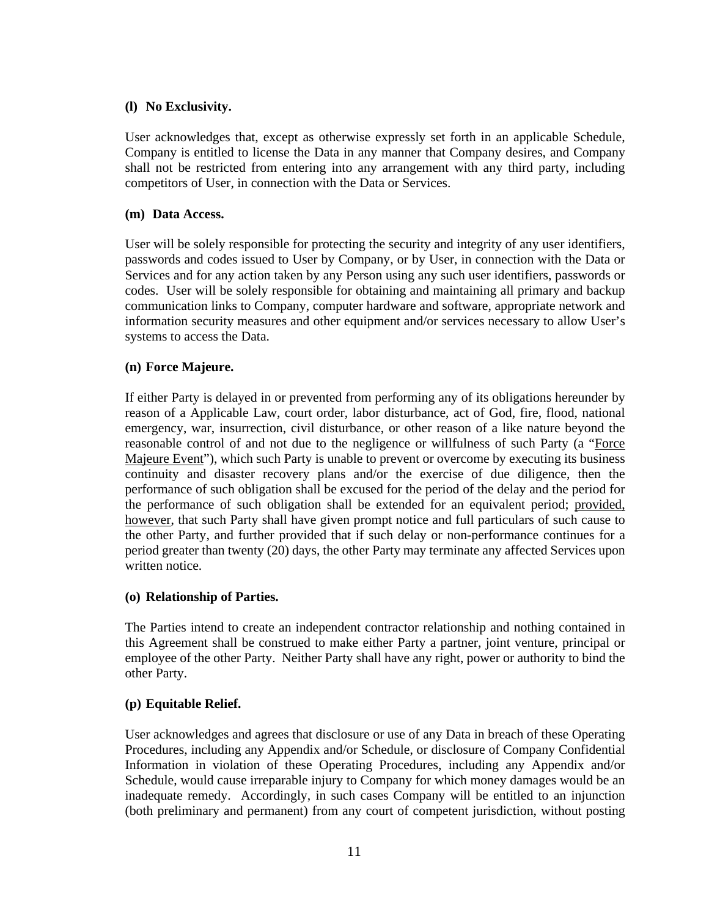### **(l) No Exclusivity.**

User acknowledges that, except as otherwise expressly set forth in an applicable Schedule, Company is entitled to license the Data in any manner that Company desires, and Company shall not be restricted from entering into any arrangement with any third party, including competitors of User, in connection with the Data or Services.

### **(m) Data Access.**

User will be solely responsible for protecting the security and integrity of any user identifiers, passwords and codes issued to User by Company, or by User, in connection with the Data or Services and for any action taken by any Person using any such user identifiers, passwords or codes. User will be solely responsible for obtaining and maintaining all primary and backup communication links to Company, computer hardware and software, appropriate network and information security measures and other equipment and/or services necessary to allow User's systems to access the Data.

### **(n) Force Majeure.**

If either Party is delayed in or prevented from performing any of its obligations hereunder by reason of a Applicable Law, court order, labor disturbance, act of God, fire, flood, national emergency, war, insurrection, civil disturbance, or other reason of a like nature beyond the reasonable control of and not due to the negligence or willfulness of such Party (a "Force Majeure Event"), which such Party is unable to prevent or overcome by executing its business continuity and disaster recovery plans and/or the exercise of due diligence, then the performance of such obligation shall be excused for the period of the delay and the period for the performance of such obligation shall be extended for an equivalent period; provided, however, that such Party shall have given prompt notice and full particulars of such cause to the other Party, and further provided that if such delay or non-performance continues for a period greater than twenty (20) days, the other Party may terminate any affected Services upon written notice.

### **(o) Relationship of Parties.**

The Parties intend to create an independent contractor relationship and nothing contained in this Agreement shall be construed to make either Party a partner, joint venture, principal or employee of the other Party. Neither Party shall have any right, power or authority to bind the other Party.

# **(p) Equitable Relief.**

User acknowledges and agrees that disclosure or use of any Data in breach of these Operating Procedures, including any Appendix and/or Schedule, or disclosure of Company Confidential Information in violation of these Operating Procedures, including any Appendix and/or Schedule, would cause irreparable injury to Company for which money damages would be an inadequate remedy. Accordingly, in such cases Company will be entitled to an injunction (both preliminary and permanent) from any court of competent jurisdiction, without posting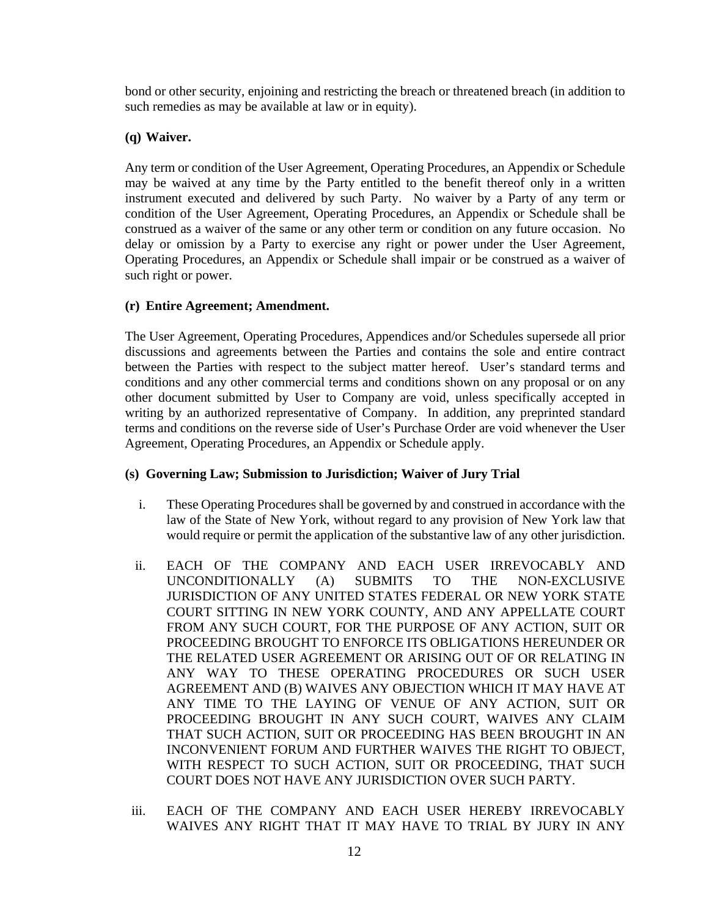bond or other security, enjoining and restricting the breach or threatened breach (in addition to such remedies as may be available at law or in equity).

# **(q) Waiver.**

Any term or condition of the User Agreement, Operating Procedures, an Appendix or Schedule may be waived at any time by the Party entitled to the benefit thereof only in a written instrument executed and delivered by such Party. No waiver by a Party of any term or condition of the User Agreement, Operating Procedures, an Appendix or Schedule shall be construed as a waiver of the same or any other term or condition on any future occasion. No delay or omission by a Party to exercise any right or power under the User Agreement, Operating Procedures, an Appendix or Schedule shall impair or be construed as a waiver of such right or power.

### **(r) Entire Agreement; Amendment.**

The User Agreement, Operating Procedures, Appendices and/or Schedules supersede all prior discussions and agreements between the Parties and contains the sole and entire contract between the Parties with respect to the subject matter hereof. User's standard terms and conditions and any other commercial terms and conditions shown on any proposal or on any other document submitted by User to Company are void, unless specifically accepted in writing by an authorized representative of Company. In addition, any preprinted standard terms and conditions on the reverse side of User's Purchase Order are void whenever the User Agreement, Operating Procedures, an Appendix or Schedule apply.

# **(s) Governing Law; Submission to Jurisdiction; Waiver of Jury Trial**

- i. These Operating Procedures shall be governed by and construed in accordance with the law of the State of New York, without regard to any provision of New York law that would require or permit the application of the substantive law of any other jurisdiction.
- ii. EACH OF THE COMPANY AND EACH USER IRREVOCABLY AND UNCONDITIONALLY (A) SUBMITS TO THE NON-EXCLUSIVE JURISDICTION OF ANY UNITED STATES FEDERAL OR NEW YORK STATE COURT SITTING IN NEW YORK COUNTY, AND ANY APPELLATE COURT FROM ANY SUCH COURT, FOR THE PURPOSE OF ANY ACTION, SUIT OR PROCEEDING BROUGHT TO ENFORCE ITS OBLIGATIONS HEREUNDER OR THE RELATED USER AGREEMENT OR ARISING OUT OF OR RELATING IN ANY WAY TO THESE OPERATING PROCEDURES OR SUCH USER AGREEMENT AND (B) WAIVES ANY OBJECTION WHICH IT MAY HAVE AT ANY TIME TO THE LAYING OF VENUE OF ANY ACTION, SUIT OR PROCEEDING BROUGHT IN ANY SUCH COURT, WAIVES ANY CLAIM THAT SUCH ACTION, SUIT OR PROCEEDING HAS BEEN BROUGHT IN AN INCONVENIENT FORUM AND FURTHER WAIVES THE RIGHT TO OBJECT, WITH RESPECT TO SUCH ACTION, SUIT OR PROCEEDING, THAT SUCH COURT DOES NOT HAVE ANY JURISDICTION OVER SUCH PARTY.
- iii. EACH OF THE COMPANY AND EACH USER HEREBY IRREVOCABLY WAIVES ANY RIGHT THAT IT MAY HAVE TO TRIAL BY JURY IN ANY